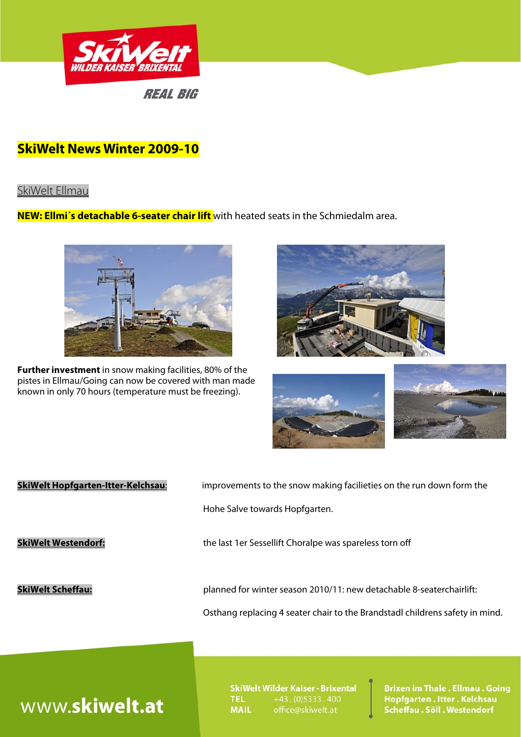

## **SkiWelt News Winter 2009-10**

## SkiWelt Ellmau

**NEW: Ellmi´s detachable 6-seater chair lift** with heated seats in the Schmiedalm area.



**Further investment** in snow making facilities, 80% of the pistes in Ellmau/Going can now be covered with man made known in only 70 hours (temperature must be freezing).







| <b>SkiWelt Hopfgarten-Itter-Kelchsau:</b> | improvements to the snow making facilieties on the run down form the<br>Hohe Salve towards Hopfgarten.                                               |
|-------------------------------------------|------------------------------------------------------------------------------------------------------------------------------------------------------|
| <b>SkiWelt Westendorf:</b>                | the last 1er Sessellift Choralpe was spareless torn off                                                                                              |
| <b>SkiWelt Scheffau:</b>                  | planned for winter season 2010/11: new detachable 8-seaterchairlift:<br>Osthang replacing 4 seater chair to the Brandstadl childrens safety in mind. |

# www.skiwelt.at

SkiWelt Wilder Kaiser - Brixental **TEL**  $+43. (0)5333.400$ **MAIL** office@skiwelt.at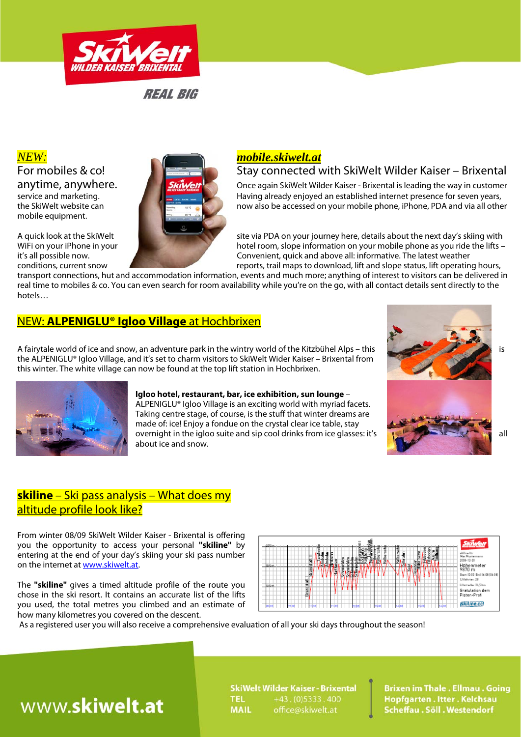

mobile equipment.



# For mobiles & co!

anytime, anywhere.<br>Skiwelt Milder Kaiser - Brixental is leading the way in customer<br>Having already enjoyed an established internet presence for seven years, Having already enjoyed an established internet presence for seven years, the SkiWelt website can now also be accessed on your mobile phone, iPhone, PDA and via all other

A quick look at the SkiWelt site via PDA on your journey here, details about the next day's skiing with WiFi on your iPhone in your **intervalsed as you ride the lifts** – it's all possible now.<br>
it's all possible now. Convenient, quick and above all: informative. The latest weather it's all possible now.<br>
Convenient, quick and above all: informative. The latest weather<br>
reports, trail maps to download. lift and slope status, lift operating reports, trail maps to download, lift and slope status, lift operating hours,

transport connections, hut and accommodation information, events and much more; anything of interest to visitors can be delivered in real time to mobiles & co. You can even search for room availability while you're on the go, with all contact details sent directly to the hotels…

> **Igloo hotel, restaurant, bar, ice exhibition, sun lounge** – ALPENIGLU® Igloo Village is an exciting world with myriad facets. Taking centre stage, of course, is the stuff that winter dreams are made of: ice! Enjoy a fondue on the crystal clear ice table, stay

## NEW: **ALPENIGLU® Igloo Village** at Hochbrixen

A fairytale world of ice and snow, an adventure park in the wintry world of the Kitzbühel Alps – this is is is the ALPENIGLU® Igloo Village, and it's set to charm visitors to SkiWelt Wider Kaiser – Brixental from this winter. The white village can now be found at the top lift station in Hochbrixen.

about ice and snow.



## **skiline** – Ski pass analysis – What does my altitude profile look like?

From winter 08/09 SkiWelt Wilder Kaiser - Brixental is offering you the opportunity to access your personal **''skiline''** by entering at the end of your day's skiing your ski pass number on the internet at www.skiwelt.at.

The **''skiline''** gives a timed altitude profile of the route you chose in the ski resort. It contains an accurate list of the lifts you used, the total metres you climbed and an estimate of how many kilometres you covered on the descent.



As a registered user you will also receive a comprehensive evaluation of all your ski days throughout the season!

# www.skiwelt.at

SkiWelt Wilder Kaiser - Brixental **TEL**  $+43. (0)5333.400$ **MAIL** office@skiwelt.at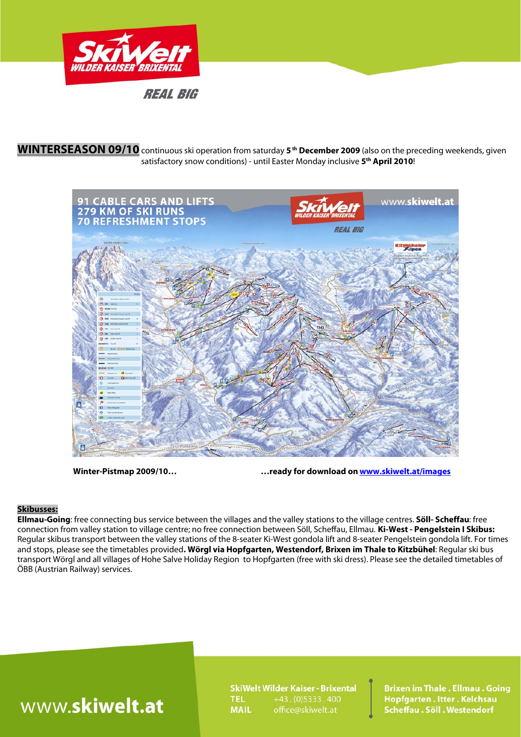

## **WINTERSEASON 09/10** continuous ski operation from saturday **5 th December 2009** (also on the preceding weekends, given satisfactory snow conditions) - until Easter Monday inclusive **5th April 2010**!



 **Winter-Pistmap 2009/10… …ready for download on www.skiwelt.at/images** 

### **Skibusses:**

**Ellmau-Going**: free connecting bus service between the villages and the valley stations to the village centres. **Söll- Scheffau**: free connection from valley station to village centre; no free connection between Söll, Scheffau, Ellmau. **Ki-West - Pengelstein I Skibus:**  Regular skibus transport between the valley stations of the 8-seater Ki-West gondola lift and 8-seater Pengelstein gondola lift. For times and stops, please see the timetables provided**. Wörgl via Hopfgarten, Westendorf, Brixen im Thale to Kitzbühel**: Regular ski bus transport Wörgl and all villages of Hohe Salve Holiday Region to Hopfgarten (free with ski dress). Please see the detailed timetables of ÖBB (Austrian Railway) services.

# www.skiwelt.at

**SkiWelt Wilder Kaiser - Brixental**  $+43. (0)5333.400$ **TEL MAIL** office@skiwelt.at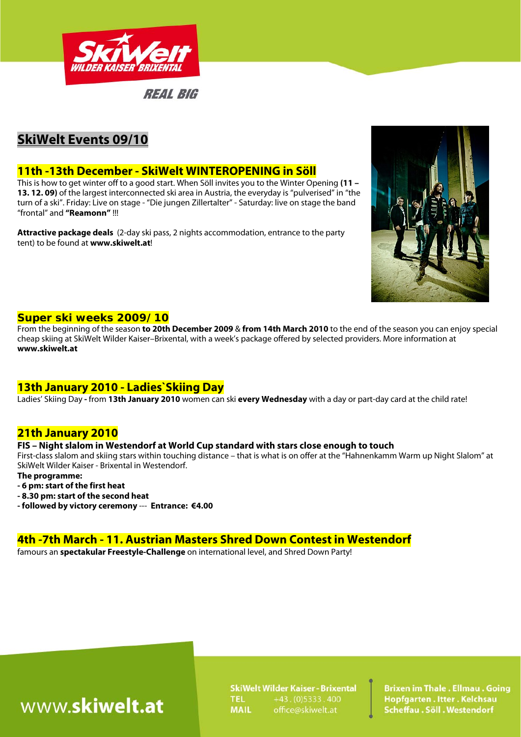

## **SkiWelt Events 09/10**

## **11th -13th December - SkiWelt WINTEROPENING in Söll**

This is how to get winter off to a good start. When Söll invites you to the Winter Opening **(11 – 13. 12. 09)** of the largest interconnected ski area in Austria, the everyday is "pulverised" in "the turn of a ski". Friday: Live on stage - "Die jungen Zillertalter" - Saturday: live on stage the band "frontal" and **"Reamonn"** !!!

**Attractive package deals** (2-day ski pass, 2 nights accommodation, entrance to the party tent) to be found at **www.skiwelt.at**!



### **Super ski weeks 2009/10**

From the beginning of the season **to 20th December 2009** & **from 14th March 2010** to the end of the season you can enjoy special cheap skiing at SkiWelt Wilder Kaiser–Brixental, with a week's package offered by selected providers. More information at **www.skiwelt.at**

## **13th January 2010 - Ladies`Skiing Day**

Ladies' Skiing Day **-** from **13th January 2010** women can ski **every Wednesday** with a day or part-day card at the child rate!

## **21th January 2010**

### **FIS – Night slalom in Westendorf at World Cup standard with stars close enough to touch**

First-class slalom and skiing stars within touching distance – that is what is on offer at the "Hahnenkamm Warm up Night Slalom" at SkiWelt Wilder Kaiser - Brixental in Westendorf.

**The programme:** 

- **6 pm: start of the first heat**
- **8.30 pm: start of the second heat**
- **followed by victory ceremony** --- **Entrance: €4.00**

## **4th -7th March - 11. Austrian Masters Shred Down Contest in Westendorf**

famours an **spectakular Freestyle-Challenge** on international level, and Shred Down Party!

# www.skiwelt.at

SkiWelt Wilder Kaiser - Brixental **TEL**  $+43. (0)5333.400$ **MAIL**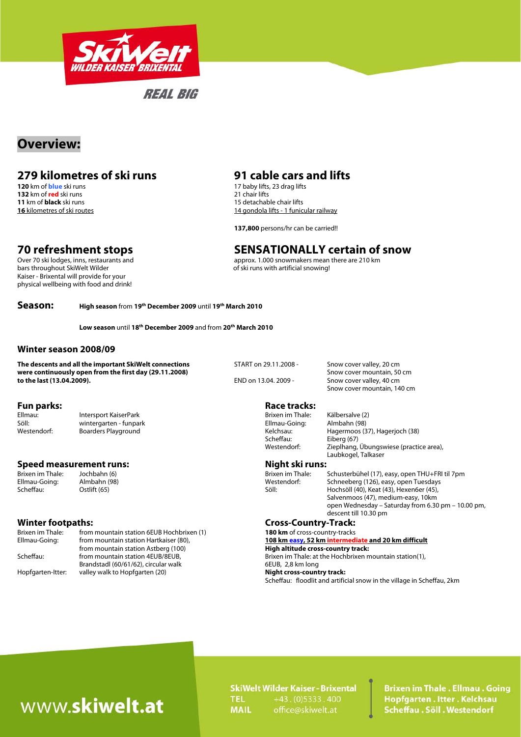

## **Overview:**

# **279 kilometres of ski runs 31 cable cars and lifts 120 km of blue ski runs 120 km of blue ski runs**

**132** km of **red** ski runs 21 chair lifts **11** km of **black** ski runs 21 chair lifts **11** km of **black** ski runs 21 chair lifts **11** km of **black** ski runs 21 chair lifts 20 chair lifts 20 chair lifts 20 chair lifts 20 cha **11** km of **black** ski runs 15 detachable chair lifts 16 kilometres of ski routes

Kaiser - Brixental will provide for your physical wellbeing with food and drink!

17 baby lifts, 23 drag lifts 14 gondola lifts - 1 funicular railway

 **137,800** persons/hr can be carried!!

# **70 refreshment stops**<br>
Over 70 ski lodges, inns, restaurants and<br>
Over 70 ski lodges, inns, restaurants and<br> **SENSATIONALLY Certain of snow**<br>
approx. 1.000 snowmakers mean there are 210 km

Over 70 ski lodges, inns, restaurants and approx. 1.000 snowmakers mean there are 210 km<br>bars throughout SkiWelt Wilder and approximation of ski runs with artificial snowing! of ski runs with artificial snowing!

**Season: High season** from **19th December 2009** until **19th March 2010**

**Low season** until **18th December 2009** and from **20th March 2010** 

### **Winter season 2008/09**

**The descents and all the important SkiWelt connections** START on 29.11.2008 - Snow cover valley, 20 cm **were continuously open from the first day (29.11.2008) Show cover mountain, 50 cm**<br> **S**now cover valley. 40 cm<br> **END** on 13.04. 2009 - Snow cover valley. 40 cm to the last (13.04. 2009).

**Fun parks: Race tracks: Race tracks: Race tracks: Race tracks: Race tracks: Race tracks: Race tracks: Race tracks: Race tracks: Race tracks: Race tracks: Race tracks: Race tracks: Race tracks:** Ellmau: Filmau: Filmau: Intersport KaiserPark Filman Brixen im Thale: Kälbersalve (2)<br>1981: Söll: Söll: Wintergarten - funpark Filman Britan Britan (1981) wintergarten - funpark

## **Speed measurement runs:**  $\frac{1}{2}$  **Night ski runs: Night ski runs: Brixen im Thale:**  $\frac{1}{2}$  Jochbahn (6)

| <b>Winter footpaths:</b> |                                           | <b>Cross-Country-Track:</b>       |
|--------------------------|-------------------------------------------|-----------------------------------|
| Brixen im Thale:         | from mountain station 6EUB Hochbrixen (1) | 180 km of cross-country-tracks    |
| Ellmau-Going:            | from mountain station Hartkaiser (80),    | 108 km easy, 52 km intermed       |
|                          | from mountain station Astberg (100)       | High altitude cross-country tr    |
| Scheffau:                | from mountain station 4EUB/8EUB,          | Brixen im Thale: at the Hochbrix  |
|                          | Brandstadl (60/61/62), circular walk      | 6EUB, 2,8 km long                 |
| Hopfgarten-Itter:        | valley walk to Hopfgarten (20)            | <b>Night cross-country track:</b> |

Snow cover mountain, 140 cm

Scheffau: Eiberg (67)

Westendorf: Boarders Playground Cassic Equation 2012 12 Extends Netchsau: Hagermoos (37), Hagerjoch (38) Westendorf: Zieplhang, Übungswiese (practice area), Laubkogel, Talkaser

Schusterbühel (17), easy, open THU+FRI til 7pm Ellmau-Going: Almbahn (98) Westendorf: Schneeberg (126), easy, open Tuesdays Hochsöll (40), Keat (43), Hexen6er (45), Salvenmoos (47), medium-easy, 10km open Wednesday – Saturday from 6.30 pm – 10.00 pm, descent till 10.30 pm

## 108 km easy, 52 km intermediate and 20 km difficult

High altitude cross-country track: Brixen im Thale: at the Hochbrixen mountain station(1), 6EUB, 2,8 km long **Night cross-country track:** 

Scheffau: floodlit and artificial snow in the village in Scheffau, 2km

# www.skiwelt.at

**SkiWelt Wilder Kaiser - Brixental TEL**  $+43. (0)5333.400$ **MAIL** office@skiwelt.at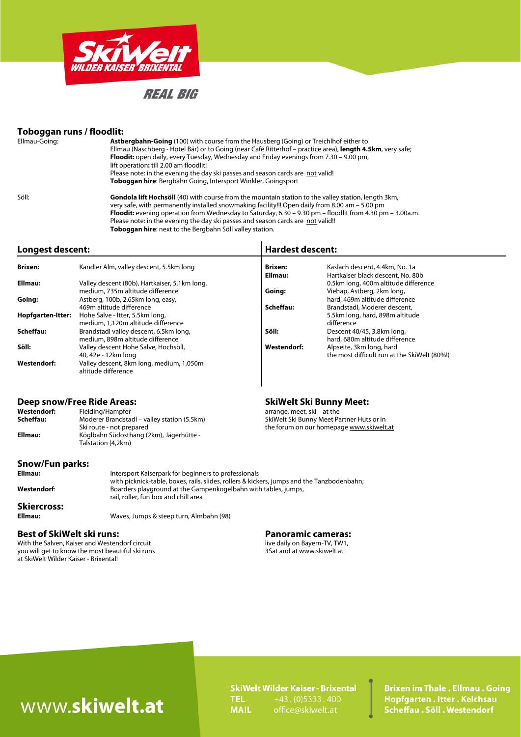

### **Toboggan runs / floodlit:**

| Ellmau-Going: | <b>Astbergbahn-Going</b> (100) with course from the Hausberg (Going) or Treichlhof either to<br>Ellmau (Naschberg - Hotel Bär) or to Going (near Café Ritterhof – practice area), length 4.5km, very safe;<br><b>Floodit:</b> open daily, every Tuesday, Wednesday and Friday evenings from 7.30 – 9.00 pm,<br>lift operation: till 2.00 am floodlit!<br>Please note: in the evening the day ski passes and season cards are not valid! |  |
|---------------|-----------------------------------------------------------------------------------------------------------------------------------------------------------------------------------------------------------------------------------------------------------------------------------------------------------------------------------------------------------------------------------------------------------------------------------------|--|
|               | Toboggan hire: Bergbahn Going, Intersport Winkler, Goingsport                                                                                                                                                                                                                                                                                                                                                                           |  |
| Söll:         | <b>Gondola lift Hochsöll</b> (40) with course from the mountain station to the valley station, length 3km,<br>very safe, with permanently installed snowmaking facility!!! Open daily from 8.00 am - 5.00 pm<br>Floodit: evening operation from Wednesday to Saturday, $6.30 - 9.30$ pm - floodlit from 4.30 pm - 3.00a.m.<br>Please note: in the evening the day ski passes and season cards are not valid!!                           |  |

**Toboggan hire**: next to the Bergbahn Söll valley station.

### **Longest descent: Hardest descent:**

| <b>Brixen:</b>    | Kandler Alm, valley descent, 5.5km long                         | <b>Brixen:</b>     | Kaslach descent, 4.4km, No. 1a               |  |
|-------------------|-----------------------------------------------------------------|--------------------|----------------------------------------------|--|
|                   |                                                                 | Ellmau:            | Hartkaiser black descent, No. 80b            |  |
| Ellmau:           | Valley descent (80b), Hartkaiser, 5.1km long,                   |                    | 0.5km long, 400m altitude difference         |  |
|                   | medium, 735m altitude difference                                | Going:             | Viehap, Astberg, 2km long,                   |  |
| Going:            | Astberg, 100b, 2.65km long, easy,                               |                    | hard, 469m altitude difference               |  |
|                   | 469m altitude difference                                        | Scheffau:          | Brandstadl, Moderer descent,                 |  |
| Hopfgarten-Itter: | Hohe Salve - Itter, 5.5km long,                                 |                    | 5.5km long, hard, 898m altitude              |  |
|                   | medium, 1,120m altitude difference                              |                    | difference                                   |  |
| Scheffau:         | Brandstadl valley descent, 6.5km long,                          | Söll:              | Descent 40/45, 3.8km long,                   |  |
|                   | medium, 898m altitude difference                                |                    | hard, 680m altitude difference               |  |
| Söll:             | Valley descent Hohe Salve, Hochsöll,                            | <b>Westendorf:</b> | Alpseite, 3km long, hard                     |  |
|                   | 40, 42e - 12km long                                             |                    | the most difficult run at the SkiWelt (80%!) |  |
| Westendorf:       | Valley descent, 8km long, medium, 1,050m<br>altitude difference |                    |                                              |  |

### Deep snow/Free Ride Areas: **SkiWelt Ski Bunny Meet: SkiWelt Ski Bunny Meet:**

| Westendorf: | Fleiding/Hampfer                            | arrange, meet, ski – at the               |
|-------------|---------------------------------------------|-------------------------------------------|
| Scheffau:   | Moderer Brandstadl – valley station (5.5km) | SkiWelt Ski Bunny Meet Partner Huts or in |
|             | Ski route - not prepared                    | the forum on our homepage www.skiwelt.at  |
| Ellmau:     | Köglbahn Südosthang (2km), Jägerhütte -     |                                           |
|             | Talstation (4.2km)                          |                                           |
|             |                                             |                                           |
|             |                                             |                                           |

## **Snow/Fun parks:**

### Intersport Kaiserpark for beginners to professionals with picknick-table, boxes, rails, slides, rollers & kickers, jumps and the Tanzbodenbahn;<br>Westendorf: Boarders playground at the Gampenkogelbahn with tables, jumps, **Westendorf**: Boarders playground at the Gampenkogelbahn with tables, jumps, rail, roller, fun box and chill area **Skiercross: Ellmau:** Waves, Jumps & steep turn, Almbahn (98)

With the Salven, Kaiser and Westendorf circuit live daily on Bayern-TV, TW1<br>you will get to know the most beautiful ski runs<br>3Sat and at www.skiwelt.at you will get to know the most beautiful ski runs at SkiWelt Wilder Kaiser - Brixental!

**Best of SkiWelt ski runs: Panoramic cameras: Panoramic cameras: Panoramic cameras: Panoramic cameras:** *Panoramic cameras: Panoramic cameras: Panoramic cameras: Panoramic cameras: Panoramic camera* 

# www.skiwelt.at

**SkiWelt Wilder Kaiser - Brixental**  $+43. (0)5333.400$ **TEL** office@skiwelt.at **MAIL**